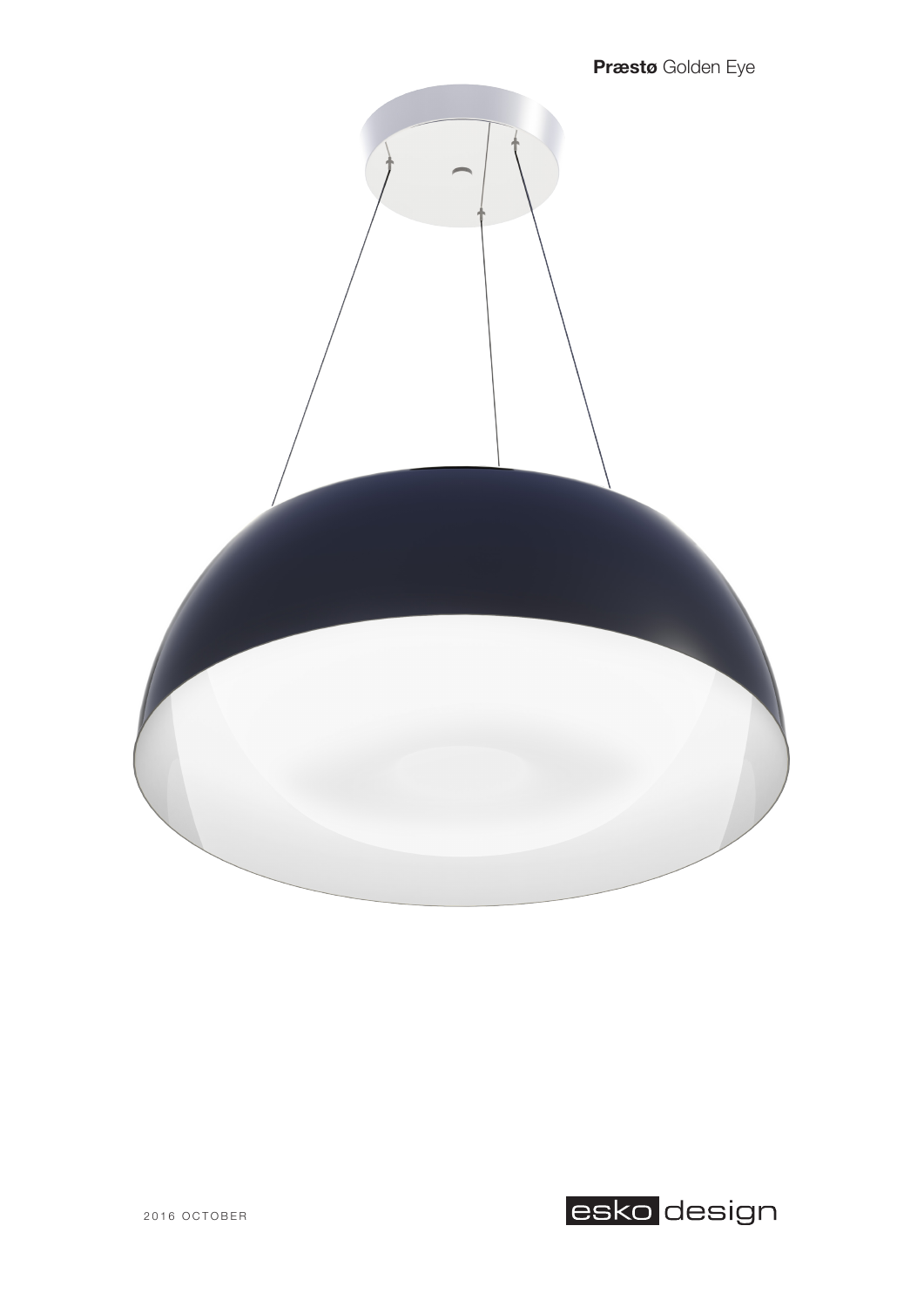